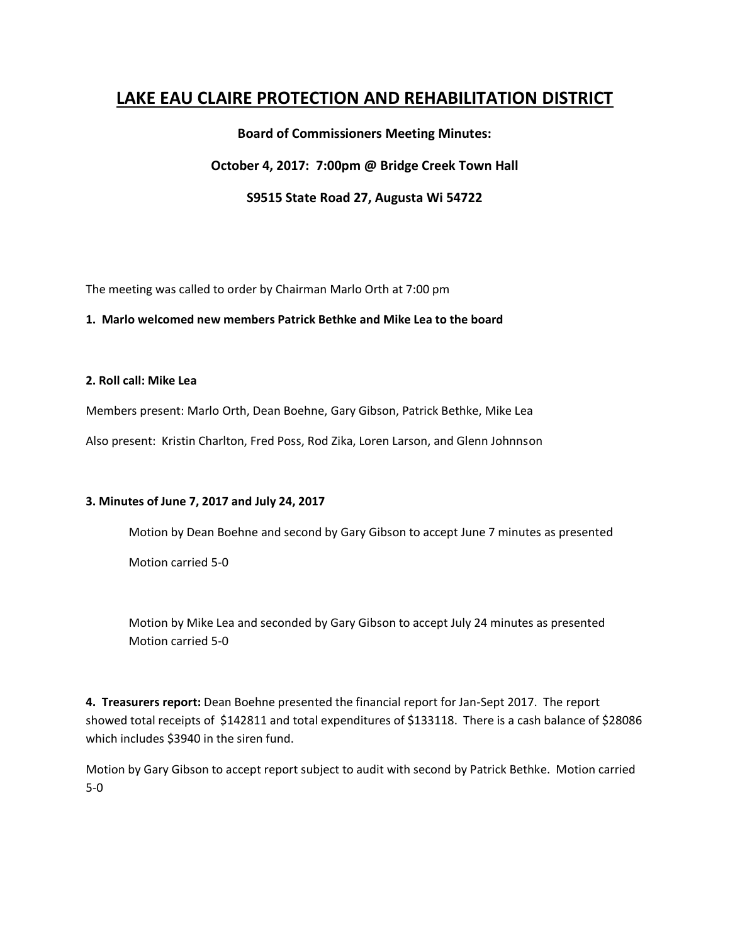# **LAKE EAU CLAIRE PROTECTION AND REHABILITATION DISTRICT**

# **Board of Commissioners Meeting Minutes:**

# **October 4, 2017: 7:00pm @ Bridge Creek Town Hall**

# **S9515 State Road 27, Augusta Wi 54722**

The meeting was called to order by Chairman Marlo Orth at 7:00 pm

#### **1. Marlo welcomed new members Patrick Bethke and Mike Lea to the board**

## **2. Roll call: Mike Lea**

Members present: Marlo Orth, Dean Boehne, Gary Gibson, Patrick Bethke, Mike Lea

Also present: Kristin Charlton, Fred Poss, Rod Zika, Loren Larson, and Glenn Johnnson

#### **3. Minutes of June 7, 2017 and July 24, 2017**

Motion by Dean Boehne and second by Gary Gibson to accept June 7 minutes as presented

Motion carried 5-0

Motion by Mike Lea and seconded by Gary Gibson to accept July 24 minutes as presented Motion carried 5-0

**4. Treasurers report:** Dean Boehne presented the financial report for Jan-Sept 2017. The report showed total receipts of \$142811 and total expenditures of \$133118. There is a cash balance of \$28086 which includes \$3940 in the siren fund.

Motion by Gary Gibson to accept report subject to audit with second by Patrick Bethke. Motion carried 5-0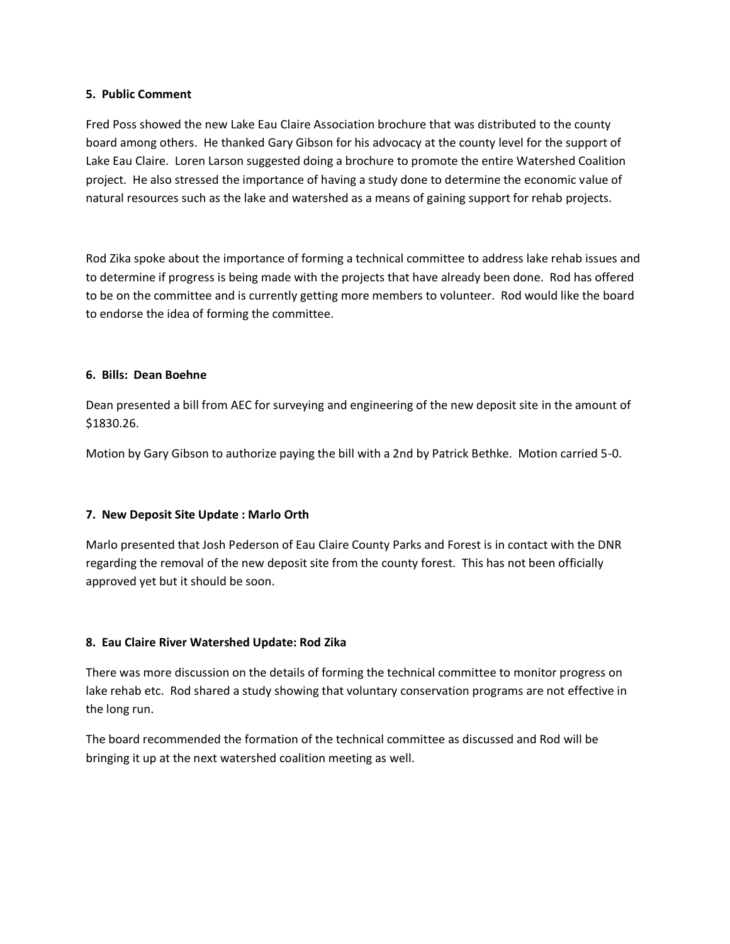## **5. Public Comment**

Fred Poss showed the new Lake Eau Claire Association brochure that was distributed to the county board among others. He thanked Gary Gibson for his advocacy at the county level for the support of Lake Eau Claire. Loren Larson suggested doing a brochure to promote the entire Watershed Coalition project. He also stressed the importance of having a study done to determine the economic value of natural resources such as the lake and watershed as a means of gaining support for rehab projects.

Rod Zika spoke about the importance of forming a technical committee to address lake rehab issues and to determine if progress is being made with the projects that have already been done. Rod has offered to be on the committee and is currently getting more members to volunteer. Rod would like the board to endorse the idea of forming the committee.

#### **6. Bills: Dean Boehne**

Dean presented a bill from AEC for surveying and engineering of the new deposit site in the amount of \$1830.26.

Motion by Gary Gibson to authorize paying the bill with a 2nd by Patrick Bethke. Motion carried 5-0.

## **7. New Deposit Site Update : Marlo Orth**

Marlo presented that Josh Pederson of Eau Claire County Parks and Forest is in contact with the DNR regarding the removal of the new deposit site from the county forest. This has not been officially approved yet but it should be soon.

## **8. Eau Claire River Watershed Update: Rod Zika**

There was more discussion on the details of forming the technical committee to monitor progress on lake rehab etc. Rod shared a study showing that voluntary conservation programs are not effective in the long run.

The board recommended the formation of the technical committee as discussed and Rod will be bringing it up at the next watershed coalition meeting as well.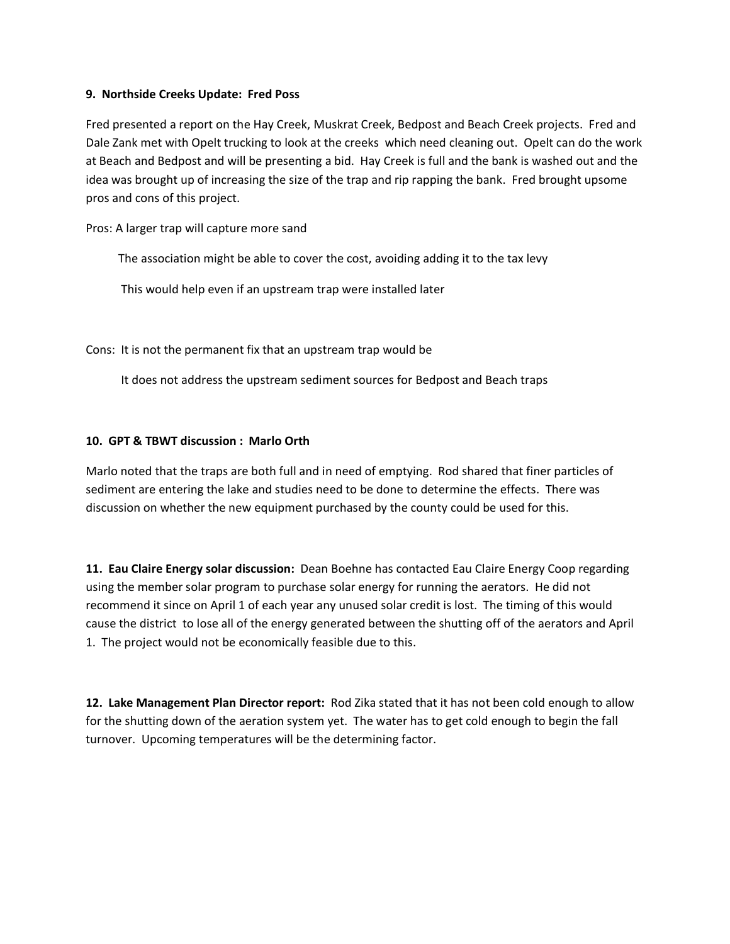#### **9. Northside Creeks Update: Fred Poss**

Fred presented a report on the Hay Creek, Muskrat Creek, Bedpost and Beach Creek projects. Fred and Dale Zank met with Opelt trucking to look at the creeks which need cleaning out. Opelt can do the work at Beach and Bedpost and will be presenting a bid. Hay Creek is full and the bank is washed out and the idea was brought up of increasing the size of the trap and rip rapping the bank. Fred brought upsome pros and cons of this project.

Pros: A larger trap will capture more sand

The association might be able to cover the cost, avoiding adding it to the tax levy

This would help even if an upstream trap were installed later

Cons: It is not the permanent fix that an upstream trap would be

It does not address the upstream sediment sources for Bedpost and Beach traps

## **10. GPT & TBWT discussion : Marlo Orth**

Marlo noted that the traps are both full and in need of emptying. Rod shared that finer particles of sediment are entering the lake and studies need to be done to determine the effects. There was discussion on whether the new equipment purchased by the county could be used for this.

**11. Eau Claire Energy solar discussion:** Dean Boehne has contacted Eau Claire Energy Coop regarding using the member solar program to purchase solar energy for running the aerators. He did not recommend it since on April 1 of each year any unused solar credit is lost. The timing of this would cause the district to lose all of the energy generated between the shutting off of the aerators and April 1. The project would not be economically feasible due to this.

**12. Lake Management Plan Director report:** Rod Zika stated that it has not been cold enough to allow for the shutting down of the aeration system yet. The water has to get cold enough to begin the fall turnover. Upcoming temperatures will be the determining factor.